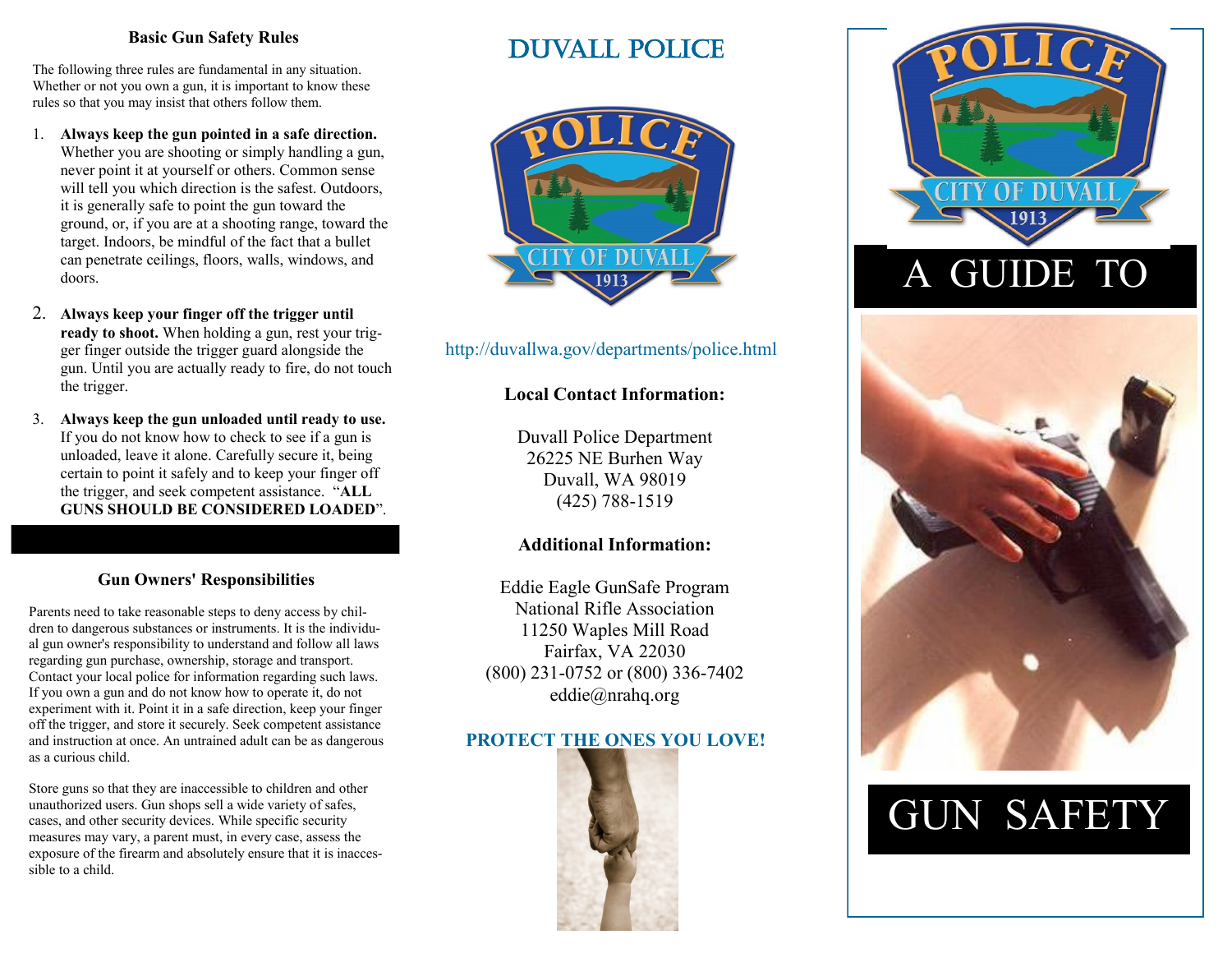### **Basic Gun Safety Rules**

The following three rules are fundamental in any situation. Whether or not you own a gun, it is important to know these rules so that you may insist that others follow them.

- 1. **Always keep the gun pointed in a safe direction.** Whether you are shooting or simply handling a gun, never point it at yourself or others. Common sense will tell you which direction is the safest. Outdoors, it is generally safe to point the gun toward the ground, or, if you are at a shooting range, toward the target. Indoors, be mindful of the fact that a bullet can penetrate ceilings, floors, walls, windows, and doors.
- 2. **Always keep your finger off the trigger until ready to shoot.** When holding a gun, rest your trigger finger outside the trigger guard alongside the gun. Until you are actually ready to fire, do not touch the trigger.
- 3. **Always keep the gun unloaded until ready to use.** If you do not know how to check to see if a gun is unloaded, leave it alone. Carefully secure it, being certain to point it safely and to keep your finger off the trigger, and seek competent assistance. "**ALL GUNS SHOULD BE CONSIDERED LOADED**".

### **Gun Owners' Responsibilities**

Parents need to take reasonable steps to deny access by children to dangerous substances or instruments. It is the individual gun owner's responsibility to understand and follow all laws regarding gun purchase, ownership, storage and transport. Contact your local police for information regarding such laws. If you own a gun and do not know how to operate it, do not experiment with it. Point it in a safe direction, keep your finger off the trigger, and store it securely. Seek competent assistance and instruction at once. An untrained adult can be as dangerous as a curious child.

Store guns so that they are inaccessible to children and other unauthorized users. Gun shops sell a wide variety of safes, cases, and other security devices. While specific security measures may vary, a parent must, in every case, assess the exposure of the firearm and absolutely ensure that it is inaccessible to a child.

# Duvall police



### http://duvallwa.gov/departments/police.html

### **Local Contact Information:**

Duvall Police Department 26225 NE Burhen Way Duvall, WA 98019 (425) 788-1519

### **Additional Information:**

Eddie Eagle GunSafe Program National Rifle Association 11250 Waples Mill Road Fairfax, VA 22030 (800) 231-0752 or (800) 336-7402 eddie@nrahq.org

# **PROTECT THE ONES YOU LOVE!**





# GUN SAFETY